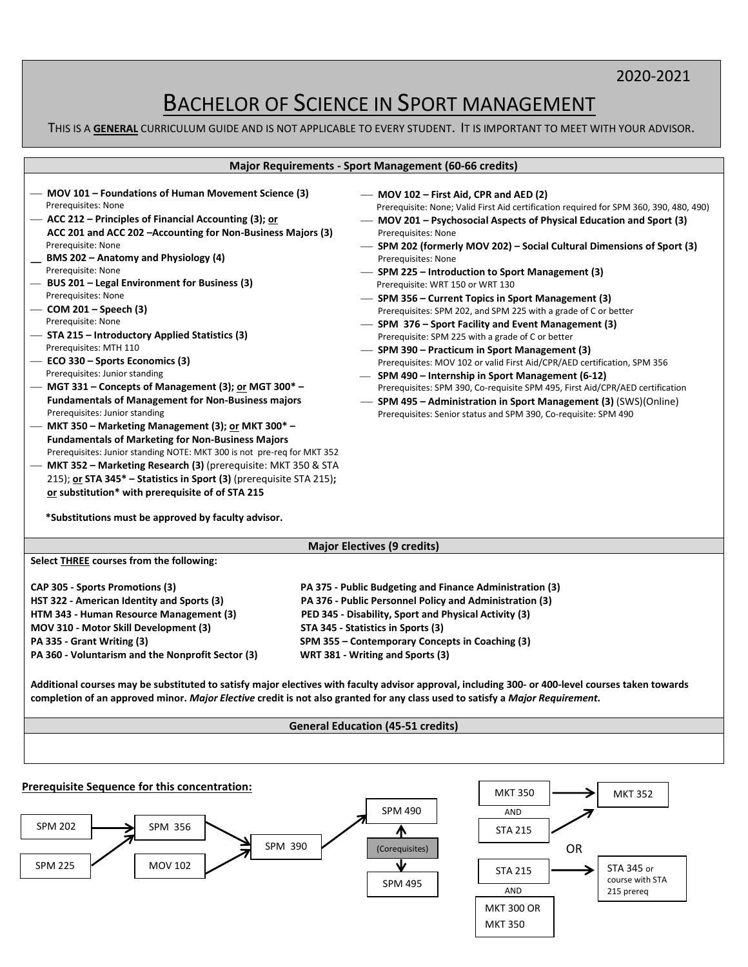# 2020-2021

# BACHELOR OF SCIENCE IN SPORT MANAGEMENT

THIS IS A **GENERAL** CURRICULUM GUIDE AND IS NOT APPLICABLE TO EVERY STUDENT. IT IS IMPORTANT TO MEET WITH YOUR ADVISOR.

|                                                                                                                                                                                                                                                                                                                                                                                                                                                                                                                                                                                                                                                                                                                                                                                                                                                                                                                                                                                                                                                                                                                                                                 | <b>Major Requirements - Sport Management (60-66 credits)</b>                                                                                                                                                                                                                                                                                                                                                                                                                                                                                                                                                                                                                                                                                                                                                                                                                                                                                                                                                                                                            |
|-----------------------------------------------------------------------------------------------------------------------------------------------------------------------------------------------------------------------------------------------------------------------------------------------------------------------------------------------------------------------------------------------------------------------------------------------------------------------------------------------------------------------------------------------------------------------------------------------------------------------------------------------------------------------------------------------------------------------------------------------------------------------------------------------------------------------------------------------------------------------------------------------------------------------------------------------------------------------------------------------------------------------------------------------------------------------------------------------------------------------------------------------------------------|-------------------------------------------------------------------------------------------------------------------------------------------------------------------------------------------------------------------------------------------------------------------------------------------------------------------------------------------------------------------------------------------------------------------------------------------------------------------------------------------------------------------------------------------------------------------------------------------------------------------------------------------------------------------------------------------------------------------------------------------------------------------------------------------------------------------------------------------------------------------------------------------------------------------------------------------------------------------------------------------------------------------------------------------------------------------------|
| MOV 101 – Foundations of Human Movement Science (3)<br>Prerequisites: None<br>ACC 212 - Principles of Financial Accounting (3); or<br>ACC 201 and ACC 202 - Accounting for Non-Business Majors (3)<br>Prerequisite: None<br>BMS 202 - Anatomy and Physiology (4)<br>Prerequisite: None<br>BUS 201 - Legal Environment for Business (3)<br>Prerequisites: None<br>COM 201 – Speech (3)<br>Prerequisite: None<br>STA 215 - Introductory Applied Statistics (3)<br>Prerequisites: MTH 110<br>ECO 330 - Sports Economics (3)<br>Prerequisites: Junior standing<br>MGT 331 - Concepts of Management (3); or MGT 300* -<br><b>Fundamentals of Management for Non-Business majors</b><br>Prerequisites: Junior standing<br>MKT 350 - Marketing Management (3); or MKT 300* -<br><b>Fundamentals of Marketing for Non-Business Majors</b><br>Prerequisites: Junior standing NOTE: MKT 300 is not pre-req for MKT 352<br>MKT 352 - Marketing Research (3) (prerequisite: MKT 350 & STA<br>215); or STA 345* - Statistics in Sport (3) (prerequisite STA 215);<br>or substitution* with prerequisite of of STA 215<br>*Substitutions must be approved by faculty advisor. | - MOV 102 - First Aid, CPR and AED (2)<br>Prerequisite: None; Valid First Aid certification required for SPM 360, 390, 480, 490)<br>- MOV 201 - Psychosocial Aspects of Physical Education and Sport (3)<br>Prerequisites: None<br>- SPM 202 (formerly MOV 202) – Social Cultural Dimensions of Sport (3)<br>Prerequisites: None<br>- SPM 225 – Introduction to Sport Management (3)<br>Prerequisite: WRT 150 or WRT 130<br>- SPM 356 – Current Topics in Sport Management (3)<br>Prerequisites: SPM 202, and SPM 225 with a grade of C or better<br>- SPM 376 – Sport Facility and Event Management (3)<br>Prerequisite: SPM 225 with a grade of C or better<br>- SPM 390 - Practicum in Sport Management (3)<br>Prerequisites: MOV 102 or valid First Aid/CPR/AED certification, SPM 356<br>- SPM 490 - Internship in Sport Management (6-12)<br>Prerequisites: SPM 390, Co-requisite SPM 495, First Aid/CPR/AED certification<br>- SPM 495 - Administration in Sport Management (3) (SWS)(Online)<br>Prerequisites: Senior status and SPM 390, Co-requisite: SPM 490 |

**Major Electives (9 credits) Select THREE courses from the following: CAP 305 - Sports Promotions (3) PA 375 - Public Budgeting and Finance Administration (3) HST 322 - American Identity and Sports (3) PA 376 - Public Personnel Policy and Administration (3) HTM 343 - Human Resource Management (3) PED 345 - Disability, Sport and Physical Activity (3) MOV 310 - Motor Skill Development (3) STA 345 - Statistics in Sports (3) PA 335 - Grant Writing (3) SPM 355 – Contemporary Concepts in Coaching (3) PA 360 - Voluntarism and the Nonprofit Sector (3) WRT 381 - Writing and Sports (3)**

**Additional courses may be substituted to satisfy major electives with faculty advisor approval, including 300- or 400-level courses taken towards completion of an approved minor.** *Major Elective* **credit is not also granted for any class used to satisfy a** *Major Requirement.*

# **General Education (45-51 credits)**